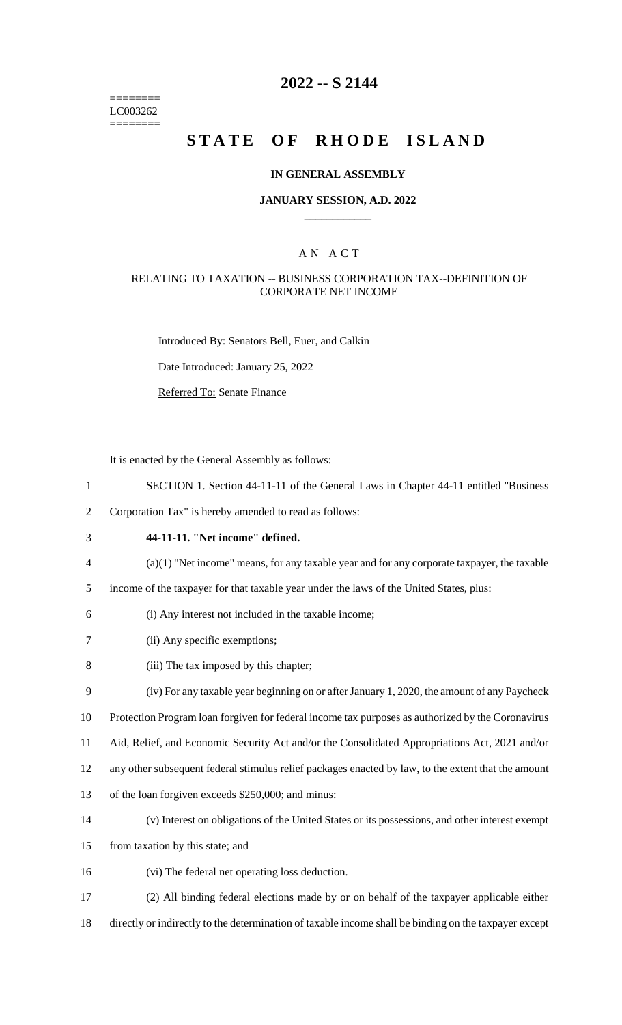======== LC003262 ========

# **2022 -- S 2144**

# **STATE OF RHODE ISLAND**

#### **IN GENERAL ASSEMBLY**

#### **JANUARY SESSION, A.D. 2022 \_\_\_\_\_\_\_\_\_\_\_\_**

### A N A C T

#### RELATING TO TAXATION -- BUSINESS CORPORATION TAX--DEFINITION OF CORPORATE NET INCOME

Introduced By: Senators Bell, Euer, and Calkin

Date Introduced: January 25, 2022

Referred To: Senate Finance

It is enacted by the General Assembly as follows:

- 1 SECTION 1. Section 44-11-11 of the General Laws in Chapter 44-11 entitled "Business
- 2 Corporation Tax" is hereby amended to read as follows:
- 3 **44-11-11. "Net income" defined.**
- 4 (a)(1) "Net income" means, for any taxable year and for any corporate taxpayer, the taxable
- 5 income of the taxpayer for that taxable year under the laws of the United States, plus:
- 6 (i) Any interest not included in the taxable income;
- 7 (ii) Any specific exemptions;
- 8 (iii) The tax imposed by this chapter;

9 (iv) For any taxable year beginning on or after January 1, 2020, the amount of any Paycheck

10 Protection Program loan forgiven for federal income tax purposes as authorized by the Coronavirus

- 11 Aid, Relief, and Economic Security Act and/or the Consolidated Appropriations Act, 2021 and/or
- 12 any other subsequent federal stimulus relief packages enacted by law, to the extent that the amount
- 13 of the loan forgiven exceeds \$250,000; and minus:
- 14 (v) Interest on obligations of the United States or its possessions, and other interest exempt
- 15 from taxation by this state; and
- 16 (vi) The federal net operating loss deduction.
- 17 (2) All binding federal elections made by or on behalf of the taxpayer applicable either
- 18 directly or indirectly to the determination of taxable income shall be binding on the taxpayer except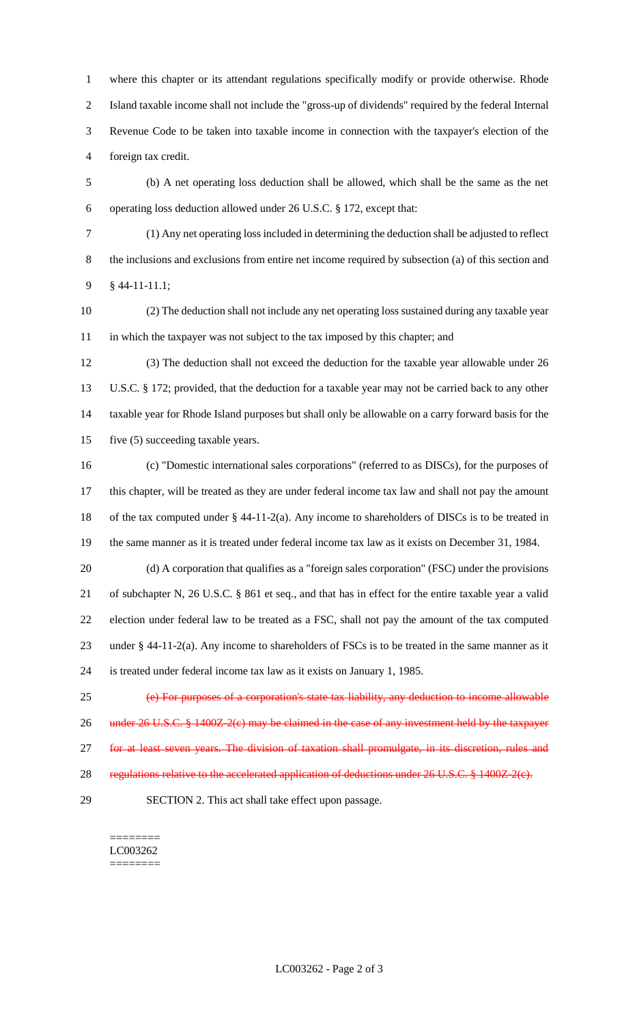where this chapter or its attendant regulations specifically modify or provide otherwise. Rhode Island taxable income shall not include the "gross-up of dividends" required by the federal Internal Revenue Code to be taken into taxable income in connection with the taxpayer's election of the foreign tax credit.

- (b) A net operating loss deduction shall be allowed, which shall be the same as the net operating loss deduction allowed under 26 U.S.C. § 172, except that:
- 

 (1) Any net operating loss included in determining the deduction shall be adjusted to reflect the inclusions and exclusions from entire net income required by subsection (a) of this section and § 44-11-11.1;

 (2) The deduction shall not include any net operating loss sustained during any taxable year in which the taxpayer was not subject to the tax imposed by this chapter; and

 (3) The deduction shall not exceed the deduction for the taxable year allowable under 26 U.S.C. § 172; provided, that the deduction for a taxable year may not be carried back to any other taxable year for Rhode Island purposes but shall only be allowable on a carry forward basis for the five (5) succeeding taxable years.

 (c) "Domestic international sales corporations" (referred to as DISCs), for the purposes of this chapter, will be treated as they are under federal income tax law and shall not pay the amount of the tax computed under § 44-11-2(a). Any income to shareholders of DISCs is to be treated in the same manner as it is treated under federal income tax law as it exists on December 31, 1984.

 (d) A corporation that qualifies as a "foreign sales corporation" (FSC) under the provisions of subchapter N, 26 U.S.C. § 861 et seq., and that has in effect for the entire taxable year a valid election under federal law to be treated as a FSC, shall not pay the amount of the tax computed under § 44-11-2(a). Any income to shareholders of FSCs is to be treated in the same manner as it is treated under federal income tax law as it exists on January 1, 1985.

 (e) For purposes of a corporation's state tax liability, any deduction to income allowable 26 under 26 U.S.C. § 1400Z-2(c) may be claimed in the case of any investment held by the taxpayer 27 for at least seven years. The division of taxation shall promulgate, in its discretion, rules and

- 28 regulations relative to the accelerated application of deductions under 26 U.S.C. § 1400Z-2(e).
- 

SECTION 2. This act shall take effect upon passage.

======== LC003262 ========